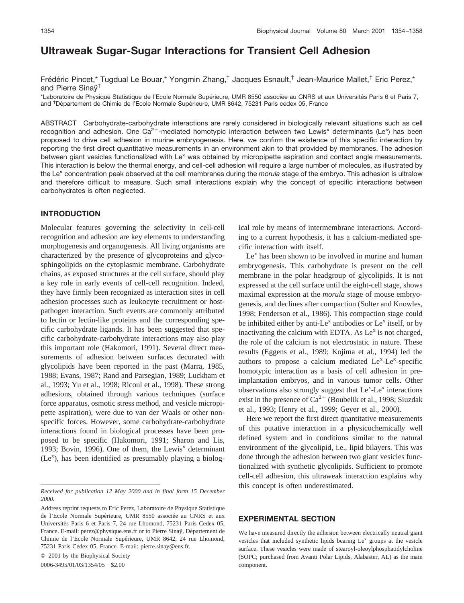# **Ultraweak Sugar-Sugar Interactions for Transient Cell Adhesion**

Frédéric Pincet,\* Tugdual Le Bouar,\* Yongmin Zhang,<sup>†</sup> Jacques Esnault,<sup>†</sup> Jean-Maurice Mallet,<sup>†</sup> Eric Perez,\* and Pierre Sinay<sup>†</sup>

\*Laboratoire de Physique Statistique de l'Ecole Normale Supérieure, UMR 8550 associée au CNRS et aux Universités Paris 6 et Paris 7, and <sup>†</sup> Département de Chimie de l'Ecole Normale Supérieure, UMR 8642, 75231 Paris cedex 05, France

ABSTRACT Carbohydrate-carbohydrate interactions are rarely considered in biologically relevant situations such as cell recognition and adhesion. One Ca<sup>2+</sup>-mediated homotypic interaction between two Lewis<sup>x</sup> determinants (Le<sup>x</sup>) has been proposed to drive cell adhesion in murine embryogenesis. Here, we confirm the existence of this specific interaction by reporting the first direct quantitative measurements in an environment akin to that provided by membranes. The adhesion between giant vesicles functionalized with Le<sup>x</sup> was obtained by micropipette aspiration and contact angle measurements. This interaction is below the thermal energy, and cell-cell adhesion will require a large number of molecules, as illustrated by the Le<sup>x</sup> concentration peak observed at the cell membranes during the *morula* stage of the embryo. This adhesion is ultralow and therefore difficult to measure. Such small interactions explain why the concept of specific interactions between carbohydrates is often neglected.

## **INTRODUCTION**

Molecular features governing the selectivity in cell-cell recognition and adhesion are key elements to understanding morphogenesis and organogenesis. All living organisms are characterized by the presence of glycoproteins and glycosphingolipids on the cytoplasmic membrane. Carbohydrate chains, as exposed structures at the cell surface, should play a key role in early events of cell-cell recognition. Indeed, they have firmly been recognized as interaction sites in cell adhesion processes such as leukocyte recruitment or hostpathogen interaction. Such events are commonly attributed to lectin or lectin-like proteins and the corresponding specific carbohydrate ligands. It has been suggested that specific carbohydrate-carbohydrate interactions may also play this important role (Hakomori, 1991). Several direct measurements of adhesion between surfaces decorated with glycolipids have been reported in the past (Marra, 1985, 1988; Evans, 1987; Rand and Parsegian, 1989; Luckham et al., 1993; Yu et al., 1998; Ricoul et al., 1998). These strong adhesions, obtained through various techniques (surface force apparatus, osmotic stress method, and vesicle micropipette aspiration), were due to van der Waals or other nonspecific forces. However, some carbohydrate-carbohydrate interactions found in biological processes have been proposed to be specific (Hakomori, 1991; Sharon and Lis, 1993; Bovin, 1996). One of them, the Lewis<sup>x</sup> determinant  $(Le<sup>x</sup>)$ , has been identified as presumably playing a biolog-

© 2001 by the Biophysical Society

0006-3495/01/03/1354/05 \$2.00

ical role by means of intermembrane interactions. According to a current hypothesis, it has a calcium-mediated specific interaction with itself.

 $Le<sup>x</sup>$  has been shown to be involved in murine and human embryogenesis. This carbohydrate is present on the cell membrane in the polar headgroup of glycolipids. It is not expressed at the cell surface until the eight-cell stage, shows maximal expression at the *morula* stage of mouse embryogenesis, and declines after compaction (Solter and Knowles, 1998; Fenderson et al., 1986). This compaction stage could be inhibited either by anti-Le<sup>x</sup> antibodies or Le<sup>x</sup> itself, or by inactivating the calcium with EDTA. As  $Le<sup>x</sup>$  is not charged, the role of the calcium is not electrostatic in nature. These results (Eggens et al., 1989; Kojima et al., 1994) led the authors to propose a calcium mediated  $Le<sup>x</sup>-Le<sup>x</sup>$ -specific homotypic interaction as a basis of cell adhesion in preimplantation embryos, and in various tumor cells. Other observations also strongly suggest that  $Le^{x}$ -Le<sup>x</sup> interactions exist in the presence of  $Ca^{2+}$  (Boubelik et al., 1998; Siuzdak et al., 1993; Henry et al., 1999; Geyer et al., 2000).

Here we report the first direct quantitative measurements of this putative interaction in a physicochemically well defined system and in conditions similar to the natural environment of the glycolipid, i.e., lipid bilayers. This was done through the adhesion between two giant vesicles functionalized with synthetic glycolipids. Sufficient to promote cell-cell adhesion, this ultraweak interaction explains why this concept is often underestimated.

## **EXPERIMENTAL SECTION**

We have measured directly the adhesion between electrically neutral giant vesicles that included synthetic lipids bearing  $Le<sup>x</sup>$  groups at the vesicle surface. These vesicles were made of stearoyl-oleoylphosphatidylcholine (SOPC; purchased from Avanti Polar Lipids, Alabaster, AL) as the main component.

*Received for publication 12 May 2000 and in final form 15 December 2000.*

Address reprint requests to Eric Perez, Laboratoire de Physique Statistique de l'Ecole Normale Supérieure, UMR 8550 associée au CNRS et aux Universités Paris 6 et Paris 7, 24 rue Lhomond, 75231 Paris Cedex 05, France. E-mail: perez@physique.ens.fr or to Pierre Sinaÿ, Département de Chimie de l'Ecole Normale Supérieure, UMR 8642, 24 rue Lhomond, 75231 Paris Cedex 05, France. E-mail: pierre.sinay@ens.fr.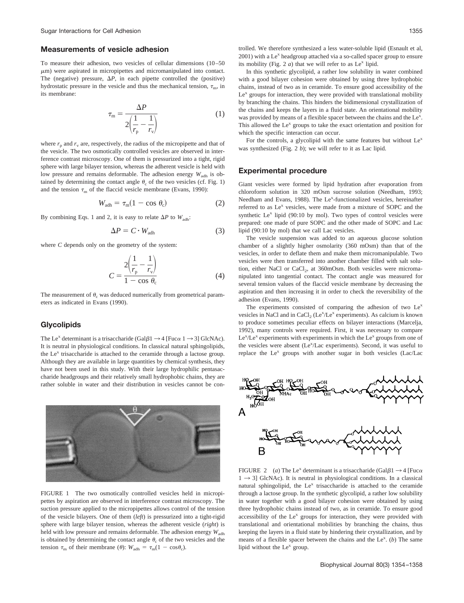#### **Measurements of vesicle adhesion**

To measure their adhesion, two vesicles of cellular dimensions (10–50  $\mu$ m) were aspirated in micropipettes and micromanipulated into contact. The (negative) pressure,  $\Delta P$ , in each pipette controlled the (positive) hydrostatic pressure in the vesicle and thus the mechanical tension,  $\tau_{m}$ , in its membrane:

$$
\tau_{\rm m} = \frac{\Delta P}{2\left(\frac{1}{r_{\rm p}} - \frac{1}{r_{\rm v}}\right)}\tag{1}
$$

where  $r_p$  and  $r_v$  are, respectively, the radius of the micropipette and that of the vesicle. The two osmotically controlled vesicles are observed in interference contrast microscopy. One of them is pressurized into a tight, rigid sphere with large bilayer tension, whereas the adherent vesicle is held with low pressure and remains deformable. The adhesion energy  $W_{\text{adh}}$  is obtained by determining the contact angle  $\theta_c$  of the two vesicles (cf. Fig. 1) and the tension  $\tau_{\rm m}$  of the flaccid vesicle membrane (Evans, 1990):

$$
W_{\text{adh}} = \tau_{\text{m}} (1 - \cos \theta_{\text{c}}) \tag{2}
$$

By combining Eqs. 1 and 2, it is easy to relate  $\Delta P$  to  $W_{\text{adh}}$ :

$$
\Delta P = C \cdot W_{\text{adh}} \tag{3}
$$

where *C* depends only on the geometry of the system:

$$
C = \frac{2\left(\frac{1}{r_{\rm p}} - \frac{1}{r_{\rm v}}\right)}{1 - \cos\theta_{\rm c}}
$$
(4)

The measurement of  $\theta_c$  was deduced numerically from geometrical parameters as indicated in Evans (1990).

#### **Glycolipids**

The Le<sup>x</sup> determinant is a trisaccharide (Gal $\beta$ 1  $\rightarrow$  4 [Fuc $\alpha$  1  $\rightarrow$  3] GlcNAc). It is neutral in physiological conditions. In classical natural sphingolipids, the  $Le<sup>x</sup>$  trisaccharide is attached to the ceramide through a lactose group. Although they are available in large quantities by chemical synthesis, they have not been used in this study. With their large hydrophilic pentasaccharide headgroups and their relatively small hydrophobic chains, they are rather soluble in water and their distribution in vesicles cannot be con-



FIGURE 1 The two osmotically controlled vesicles held in micropipettes by aspiration are observed in interference contrast microscopy. The suction pressure applied to the micropipettes allows control of the tension of the vesicle bilayers. One of them (*left*) is pressurized into a tight-rigid sphere with large bilayer tension, whereas the adherent vesicle (*right*) is held with low pressure and remains deformable. The adhesion energy  $W_{\text{adh}}$ is obtained by determining the contact angle  $\theta_c$  of the two vesicles and the tension  $\tau_{\rm m}$  of their membrane ( $\theta$ ):  $W_{\rm adh} = \tau_{\rm m}(1 - \cos\theta_{\rm c})$ .

trolled. We therefore synthesized a less water-soluble lipid (Esnault et al,  $2001$ ) with a Le<sup>x</sup> headgroup attached via a so-called spacer group to ensure its mobility (Fig.  $2a$ ) that we will refer to as Le<sup>x</sup> lipid.

In this synthetic glycolipid, a rather low solubility in water combined with a good bilayer cohesion were obtained by using three hydrophobic chains, instead of two as in ceramide. To ensure good accessibility of the  $Le^{x}$  groups for interaction, they were provided with translational mobility by branching the chains. This hinders the bidimensional crystallization of the chains and keeps the layers in a fluid state. An orientational mobility was provided by means of a flexible spacer between the chains and the Le<sup>x</sup>. This allowed the  $Le<sup>x</sup>$  groups to take the exact orientation and position for which the specific interaction can occur.

For the controls, a glycolipid with the same features but without  $Le<sup>x</sup>$ was synthesized (Fig. 2 *b*); we will refer to it as Lac lipid.

#### **Experimental procedure**

Giant vesicles were formed by lipid hydration after evaporation from chloroform solution in 320 mOsm sucrose solution (Needham, 1993; Needham and Evans, 1988). The Le<sup>x</sup>-functionalized vesicles, hereinafter referred to as Le<sup>x</sup> vesicles, were made from a mixture of SOPC and the synthetic Le<sup>x</sup> lipid (90:10 by mol). Two types of control vesicles were prepared: one made of pure SOPC and the other made of SOPC and Lac lipid (90:10 by mol) that we call Lac vesicles.

The vesicle suspension was added to an aqueous glucose solution chamber of a slightly higher osmolarity (360 mOsm) than that of the vesicles, in order to deflate them and make them micromanipulable. Two vesicles were then transferred into another chamber filled with salt solution, either NaCl or CaCl<sub>2</sub>, at 360mOsm. Both vesicles were micromanipulated into tangential contact. The contact angle was measured for several tension values of the flaccid vesicle membrane by decreasing the aspiration and then increasing it in order to check the reversibility of the adhesion (Evans, 1990).

The experiments consisted of comparing the adhesion of two  $Le<sup>x</sup>$ vesicles in NaCl and in CaCl<sub>2</sub> (Le<sup>x</sup>/Le<sup>x</sup> experiments). As calcium is known to produce sometimes peculiar effects on bilayer interactions (Marcelja, 1992), many controls were required. First, it was necessary to compare Le<sup>x</sup>/Le<sup>x</sup> experiments with experiments in which the Le<sup>x</sup> groups from one of the vesicles were absent (Le<sup>x</sup>/Lac experiments). Second, it was useful to replace the Le<sup>x</sup> groups with another sugar in both vesicles (Lac/Lac



FIGURE 2 (*a*) The Le<sup>x</sup> determinant is a trisaccharide (Gal $\beta$ 1  $\rightarrow$  4 [Fuc $\alpha$  $1 \rightarrow 3$ ] GlcNAc). It is neutral in physiological conditions. In a classical natural sphingolipid, the Le<sup>x</sup> trisaccharide is attached to the ceramide through a lactose group. In the synthetic glycolipid, a rather low solubility in water together with a good bilayer cohesion were obtained by using three hydrophobic chains instead of two, as in ceramide. To ensure good accessibility of the  $Le^{x}$  groups for interaction, they were provided with translational and orientational mobilities by branching the chains, thus keeping the layers in a fluid state by hindering their crystallization, and by means of a flexible spacer between the chains and the Le<sup>x</sup>. (b) The same lipid without the  $Le^{x}$  group.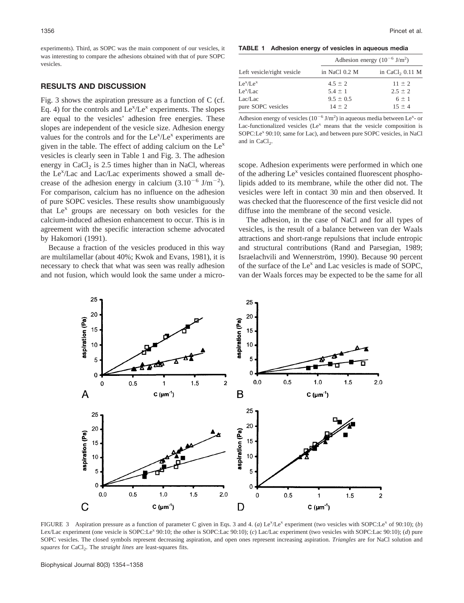experiments). Third, as SOPC was the main component of our vesicles, it was interesting to compare the adhesions obtained with that of pure SOPC vesicles.

## **RESULTS AND DISCUSSION**

Fig. 3 shows the aspiration pressure as a function of C (cf. Eq. 4) for the controls and  $Le^{x}/Le^{x}$  experiments. The slopes are equal to the vesicles' adhesion free energies. These slopes are independent of the vesicle size. Adhesion energy values for the controls and for the  $Le^{x}/Le^{x}$  experiments are given in the table. The effect of adding calcium on the  $Le<sup>x</sup>$ vesicles is clearly seen in Table 1 and Fig. 3. The adhesion energy in CaCl<sub>2</sub> is 2.5 times higher than in NaCl, whereas the Le<sup>x</sup>/Lac and Lac/Lac experiments showed a small decrease of the adhesion energy in calcium  $(3.10^{-6} \text{ J/m}^{-2})$ . For comparison, calcium has no influence on the adhesion of pure SOPC vesicles. These results show unambiguously that  $Le<sup>x</sup>$  groups are necessary on both vesicles for the calcium-induced adhesion enhancement to occur. This is in agreement with the specific interaction scheme advocated by Hakomori (1991).

Because a fraction of the vesicles produced in this way are multilamellar (about 40%; Kwok and Evans, 1981), it is necessary to check that what was seen was really adhesion and not fusion, which would look the same under a micro-

**TABLE 1 Adhesion energy of vesicles in aqueous media**

| Left vesicle/right vesicle | Adhesion energy $(10^{-6} \text{ J/m}^2)$ |                   |
|----------------------------|-------------------------------------------|-------------------|
|                            | in NaCl 0.2 M                             | in CaCl, $0.11$ M |
| $Le^{x}/Le^{x}$            | $4.5 \pm 2$                               | $11 + 2$          |
| $Le^{x}/Lac$               | $5.4 \pm 1$                               | $2.5 \pm 2$       |
| Lac/Lac                    | $9.5 \pm 0.5$                             | $6 \pm 1$         |
| pure SOPC vesicles         | $14 + 2$                                  | $15 + 4$          |

Adhesion energy of vesicles  $(10^{-6} \text{ J/m}^2)$  in aqueous media between Le<sup>x</sup>- or Lac-functionalized vesicles  $(Le^{x}$  means that the vesicle composition is SOPC:Le<sup>x</sup> 90:10; same for Lac), and between pure SOPC vesicles, in NaCl and in  $CaCl<sub>2</sub>$ .

scope. Adhesion experiments were performed in which one of the adhering  $Le<sup>x</sup>$  vesicles contained fluorescent phospholipids added to its membrane, while the other did not. The vesicles were left in contact 30 min and then observed. It was checked that the fluorescence of the first vesicle did not diffuse into the membrane of the second vesicle.

The adhesion, in the case of NaCl and for all types of vesicles, is the result of a balance between van der Waals attractions and short-range repulsions that include entropic and structural contributions (Rand and Parsegian, 1989; Israelachvili and Wennerström, 1990). Because 90 percent of the surface of the  $Le<sup>x</sup>$  and Lac vesicles is made of SOPC, van der Waals forces may be expected to be the same for all



FIGURE 3 Aspiration pressure as a function of parameter C given in Eqs. 3 and 4. (*a*) Le<sup>x</sup>/Le<sup>x</sup> experiment (two vesicles with SOPC:Le<sup>x</sup> of 90:10); (*b*) Lex/Lac experiment (one vesicle is SOPC:Lex 90:10; the other is SOPC:Lac 90:10); (*c*) Lac/Lac experiment (two vesicles with SOPC:Lac 90:10); (*d*) pure SOPC vesicles. The closed symbols represent decreasing aspiration, and open ones represent increasing aspiration. *Triangles* are for NaCl solution and *squares* for CaCl<sub>2</sub>. The *straight lines* are least-squares fits.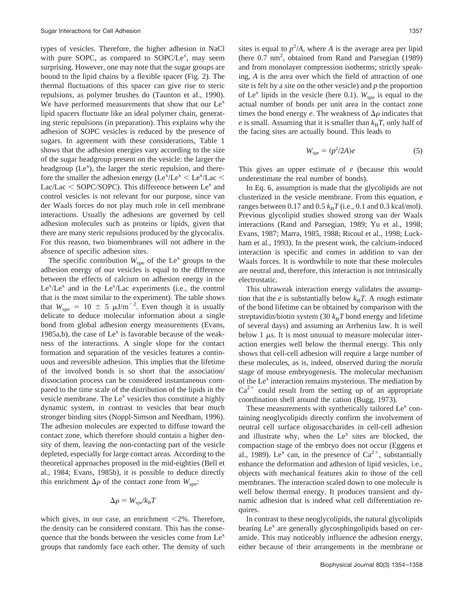types of vesicles. Therefore, the higher adhesion in NaCl with pure SOPC, as compared to  $SOPC/Le<sup>x</sup>$ , may seem surprising. However, one may note that the sugar groups are bound to the lipid chains by a flexible spacer (Fig. 2). The thermal fluctuations of this spacer can give rise to steric repulsions, as polymer brushes do (Taunton et al., 1990). We have performed measurements that show that our  $Le<sup>x</sup>$ lipid spacers fluctuate like an ideal polymer chain, generating steric repulsions (in preparation). This explains why the adhesion of SOPC vesicles is reduced by the presence of sugars. In agreement with these considerations, Table 1 shows that the adhesion energies vary according to the size of the sugar headgroup present on the vesicle: the larger the headgroup  $(Le^{x})$ , the larger the steric repulsion, and therefore the smaller the adhesion energy ( $Le^x/Le^x < Le^x/Lac$ ) Lac/Lac  $\leq$  SOPC/SOPC). This difference between Le<sup>x</sup> and control vesicles is not relevant for our purpose, since van der Waals forces do not play much role in cell membrane interactions. Usually the adhesions are governed by cell adhesion molecules such as proteins or lipids, given that there are many steric repulsions produced by the glycocalix. For this reason, two biomembranes will not adhere in the absence of specific adhesion sites.

The specific contribution  $W_{\text{spe}}$  of the Le<sup>x</sup> groups to the adhesion energy of our vesicles is equal to the difference between the effects of calcium on adhesion energy in the  $Le^{x}/Le^{x}$  and in the  $Le^{x}/Lac$  experiments (i.e., the control that is the most similar to the experiment). The table shows that  $W_{\text{spe}} = 10 \pm 5 \mu \text{J/m}^{-2}$ . Even though it is usually delicate to deduce molecular information about a single bond from global adhesion energy measurements (Evans, 1985a,b), the case of  $Le<sup>x</sup>$  is favorable because of the weakness of the interactions. A single slope for the contact formation and separation of the vesicles features a continuous and reversible adhesion. This implies that the lifetime of the involved bonds is so short that the association/ dissociation process can be considered instantaneous compared to the time scale of the distribution of the lipids in the vesicle membrane. The  $Le^{x}$  vesicles thus constitute a highly dynamic system, in contrast to vesicles that bear much stronger binding sites (Noppl-Simson and Needham, 1996). The adhesion molecules are expected to diffuse toward the contact zone, which therefore should contain a higher density of them, leaving the non-contacting part of the vesicle depleted, especially for large contact areas. According to the theoretical approaches proposed in the mid-eighties (Bell et al., 1984; Evans, 1985b), it is possible to deduce directly this enrichment  $\Delta \rho$  of the contact zone from  $W_{\text{spe}}$ .

$$
\Delta \rho = W_{\rm spe}/k_{\rm B}T
$$

which gives, in our case, an enrichment  $\leq 2\%$ . Therefore, the density can be considered constant. This has the consequence that the bonds between the vesicles come from  $Le<sup>x</sup>$ groups that randomly face each other. The density of such

sites is equal to  $p^2/A$ , where *A* is the average area per lipid (here  $0.7 \text{ nm}^2$ , obtained from Rand and Parsegian (1989) and from monolayer compression isotherms; strictly speaking, *A* is the area over which the field of attraction of one site is felt by a site on the other vesicle) and *p* the proportion of Le<sup>x</sup> lipids in the vesicle (here 0.1).  $W_{\text{spe}}$  is equal to the actual number of bonds per unit area in the contact zone times the bond energy *e*. The weakness of  $\Delta \rho$  indicates that  $e$  is small. Assuming that it is smaller than  $k_B T$ , only half of the facing sites are actually bound. This leads to

$$
W_{\rm spe} = (p^2/2A)e \tag{5}
$$

This gives an upper estimate of *e* (because this would underestimate the real number of bonds).

In Eq. 6, assumption is made that the glycolipids are not clusterized in the vesicle membrane. From this equation, *e* ranges between 0.17 and 0.5  $k_B T$  (i.e., 0.1 and 0.3 kcal/mol). Previous glycolipid studies showed strong van der Waals interactions (Rand and Parsegian, 1989; Yu et al., 1998; Evans, 1987; Marra, 1985, 1988; Ricoul et al., 1998; Luckham et al., 1993). In the present work, the calcium-induced interaction is specific and comes in addition to van der Waals forces. It is worthwhile to note that these molecules are neutral and, therefore, this interaction is not intrinsically electrostatic.

This ultraweak interaction energy validates the assumption that the *e* is substantially below  $k_B T$ . A rough estimate of the bond lifetime can be obtained by comparison with the streptavidin/biotin system (30  $k_B T$  bond energy and lifetime of several days) and assuming an Arrhenius law. It is well below 1  $\mu$ s. It is most unusual to measure molecular interaction energies well below the thermal energy. This only shows that cell-cell adhesion will require a large number of these molecules, as is, indeed, observed during the *morula* stage of mouse embryogenesis. The molecular mechanism of the Le<sup>x</sup> interaction remains mysterious. The mediation by  $Ca^{2+}$  could result from the setting up of an appropriate coordination shell around the cation (Bugg, 1973).

These measurements with synthetically tailored  $Le<sup>x</sup>$  containing neoglycolipids directly confirm the involvement of neutral cell surface oligosaccharides in cell-cell adhesion and illustrate why, when the  $Le<sup>x</sup>$  sites are blocked, the compaction stage of the embryo does not occur (Eggens et al., 1989). Le<sup>x</sup> can, in the presence of  $Ca^{2+}$ , substantially enhance the deformation and adhesion of lipid vesicles, i.e., objects with mechanical features akin to those of the cell membranes. The interaction scaled down to one molecule is well below thermal energy. It produces transient and dynamic adhesion that is indeed what cell differentiation requires.

In contrast to these neoglycolipids, the natural glycolipids bearing Le<sup>x</sup> are generally glycosphingolipids based on ceramide. This may noticeably influence the adhesion energy, either because of their arrangements in the membrane or